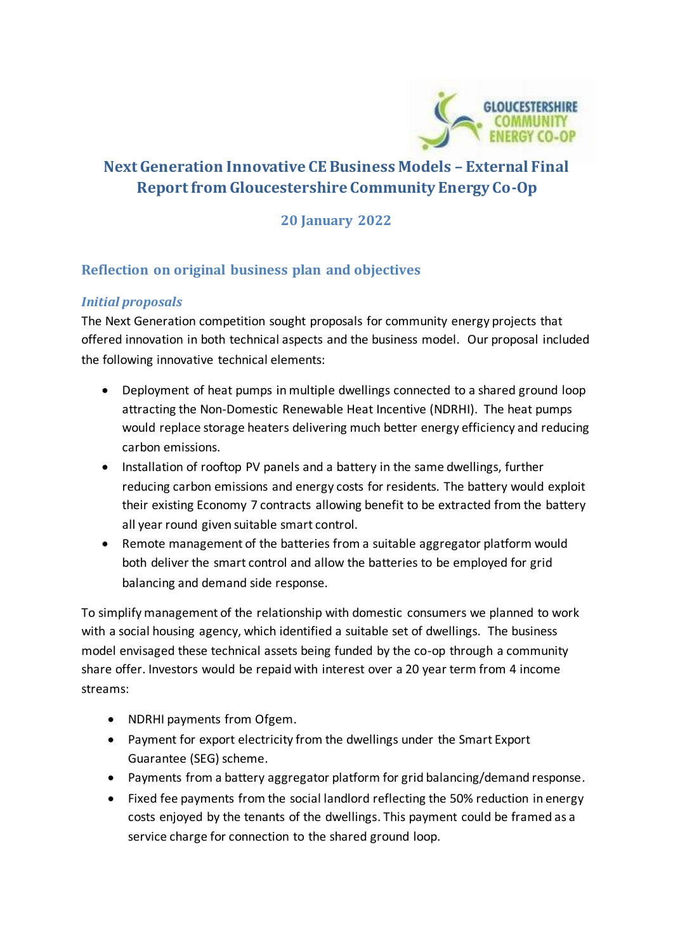

# **Next Generation Innovative CE Business Models – External Final Report from Gloucestershire Community Energy Co-Op**

## **20 January 2022**

## **Reflection on original business plan and objectives**

#### *Initial proposals*

The Next Generation competition sought proposals for community energy projects that offered innovation in both technical aspects and the business model. Our proposal included the following innovative technical elements:

- Deployment of heat pumps in multiple dwellings connected to a shared ground loop attracting the Non-Domestic Renewable Heat Incentive (NDRHI). The heat pumps would replace storage heaters delivering much better energy efficiency and reducing carbon emissions.
- Installation of rooftop PV panels and a battery in the same dwellings, further reducing carbon emissions and energy costs for residents. The battery would exploit their existing Economy 7 contracts allowing benefit to be extracted from the battery all year round given suitable smart control.
- Remote management of the batteries from a suitable aggregator platform would both deliver the smart control and allow the batteries to be employed for grid balancing and demand side response.

To simplify management of the relationship with domestic consumers we planned to work with a social housing agency, which identified a suitable set of dwellings. The business model envisaged these technical assets being funded by the co-op through a community share offer. Investors would be repaid with interest over a 20 year term from 4 income streams:

- NDRHI payments from Ofgem.
- Payment for export electricity from the dwellings under the Smart Export Guarantee (SEG) scheme.
- Payments from a battery aggregator platform for grid balancing/demand response.
- Fixed fee payments from the social landlord reflecting the 50% reduction in energy costs enjoyed by the tenants of the dwellings. This payment could be framed as a service charge for connection to the shared ground loop.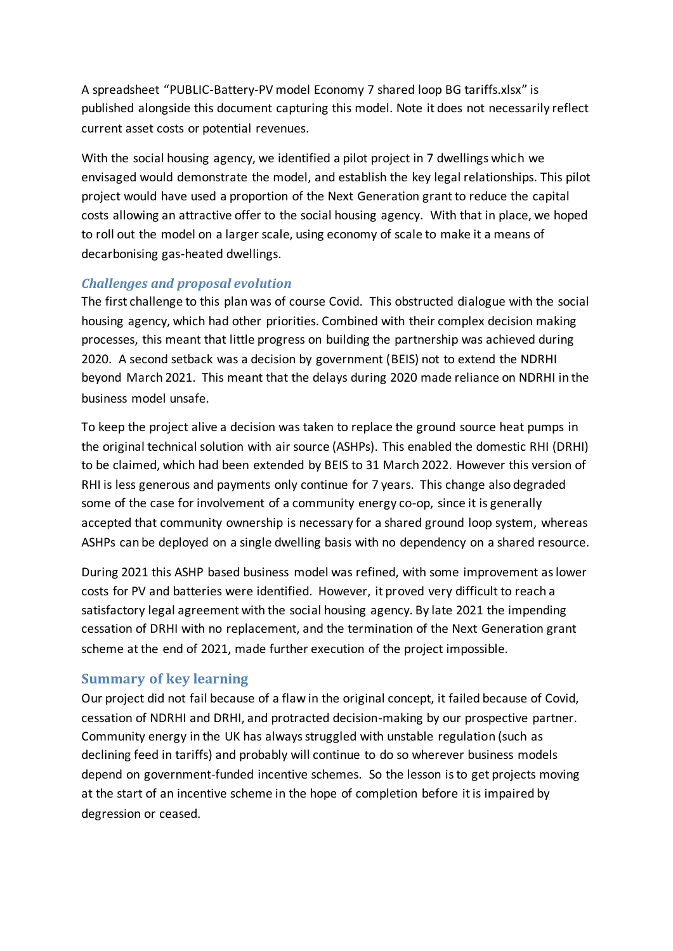A spreadsheet "PUBLIC-Battery-PV model Economy 7 shared loop BG tariffs.xlsx" is published alongside this document capturing this model. Note it does not necessarily reflect current asset costs or potential revenues.

With the social housing agency, we identified a pilot project in 7 dwellings which we envisaged would demonstrate the model, and establish the key legal relationships. This pilot project would have used a proportion of the Next Generation grant to reduce the capital costs allowing an attractive offer to the social housing agency. With that in place, we hoped to roll out the model on a larger scale, using economy of scale to make it a means of decarbonising gas-heated dwellings.

#### *Challenges and proposal evolution*

The first challenge to this plan was of course Covid. This obstructed dialogue with the social housing agency, which had other priorities. Combined with their complex decision making processes, this meant that little progress on building the partnership was achieved during 2020. A second setback was a decision by government (BEIS) not to extend the NDRHI beyond March 2021. This meant that the delays during 2020 made reliance on NDRHI in the business model unsafe.

To keep the project alive a decision was taken to replace the ground source heat pumps in the original technical solution with air source (ASHPs). This enabled the domestic RHI (DRHI) to be claimed, which had been extended by BEIS to 31 March 2022. However this version of RHI is less generous and payments only continue for 7 years. This change also degraded some of the case for involvement of a community energy co-op, since it is generally accepted that community ownership is necessary for a shared ground loop system, whereas ASHPs can be deployed on a single dwelling basis with no dependency on a shared resource.

During 2021 this ASHP based business model was refined, with some improvement as lower costs for PV and batteries were identified. However, it proved very difficult to reach a satisfactory legal agreement with the social housing agency. By late 2021 the impending cessation of DRHI with no replacement, and the termination of the Next Generation grant scheme at the end of 2021, made further execution of the project impossible.

## **Summary of key learning**

Our project did not fail because of a flaw in the original concept, it failed because of Covid, cessation of NDRHI and DRHI, and protracted decision-making by our prospective partner. Community energy in the UK has always struggled with unstable regulation (such as declining feed in tariffs) and probably will continue to do so wherever business models depend on government-funded incentive schemes. So the lesson is to get projects moving at the start of an incentive scheme in the hope of completion before it is impaired by degression or ceased.